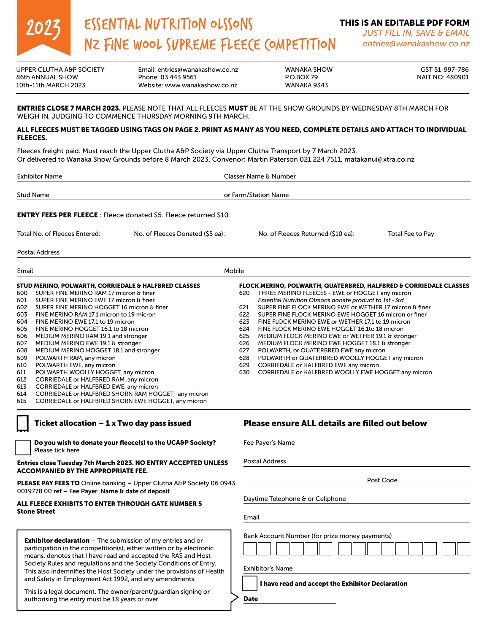

# ESSENTIAL NUTRITION OLSSONS ESSENTIAL NUTRITION OLSSONS<br>NZ FINE WOOL SUPREME FLEECE COMPETITION *JUST FILL IN, SAVE & EMAIL*<br>entries@wanakashow.co.nz

*JUST FILL IN, SAVE & EMAIL entries@wanakashow.co.nz*

UPPER CLUTHA A&P SOCIETY Email: entries@wanakashow.co.nz WANAKA SHOW GST 51-997-786 86th ANNUAL SHOW Phone: 03 443 9561 P.O.BOX 79 NAIT NO: 480901 Website: www.wanakashow.co.nz

## ENTRIES CLOSE 7 MARCH 2023. PLEASE NOTE THAT ALL FLEECES MUST BE AT THE SHOW GROUNDS BY WEDNESDAY 8TH MARCH FOR WEIGH IN, JUDGING TO COMMENCE THURSDAY MORNING 9TH MARCH.

## ALL FLEECES MUST BE TAGGED USING TAGS ON PAGE 2. PRINT AS MANY AS YOU NEED, COMPLETE DETAILS AND ATTACH TO INDIVIDUAL FLEECES.

Fleeces freight paid. Must reach the Upper Clutha A&P Society via Upper Clutha Transport by 7 March 2023. Or delivered to Wanaka Show Grounds before 8 March 2023. Convenor: Martin Paterson 021 224 7511, matakanui@xtra.co.nz

| <b>Exhibitor Name</b> | Classer Name & Number |  |
|-----------------------|-----------------------|--|
|                       |                       |  |
| Stud Name             | or Farm/Station Name  |  |
|                       |                       |  |

ENTRY FEES PER FLEECE : Fleece donated \$5. Fleece returned \$10.

Total No. of Fleeces Entered: No. of Fleeces Donated (\$5 ea): No. of Fleeces Returned (\$10 ea): Total Fee to Pay:

Postal Address

| Email |                                                                 | Mobile |                                                                              |  |
|-------|-----------------------------------------------------------------|--------|------------------------------------------------------------------------------|--|
|       | <b>STUD MERINO, POLWARTH, CORRIEDALE &amp; HALFBRED CLASSES</b> |        | <b>FLOCK MERINO, POLWARTH, QUATERBRED, HALFBRED &amp; CORRIEDALE CLASSES</b> |  |
| 600   | SUPER FINE MERINO RAM 17 micron & finer                         | 620    | THREE MERINO FLEECES - EWE or HOGGET any micron                              |  |
| 601   | SUPER FINE MERINO EWE 17 micron & finer                         |        | Essential Nutrition Olssons donate product to 1st -3rd                       |  |
| 602   | SUPER FINE MERINO HOGGET 16 micron & finer                      | 621    | SUPER FINE FLOCK MERINO EWE or WETHER 17 micron & finer                      |  |
| 603   | FINE MERINO RAM 17.1 micron to 19 micron                        | 622    | SUPER FINE FLOCK MERINO EWE HOGGET 16 micron or finer                        |  |
| 604   | FINE MERINO EWE 17.1 to 19 micron                               | 623    | FINE FLOCK MERINO EWE or WETHER 17.1 to 19 micron                            |  |
| 605   | FINE MERINO HOGGET 16.1 to 18 micron                            | 624    | FINE FLOCK MERINO EWE HOGGET 16.1to 18 micron                                |  |
| 606   | MEDIUM MERINO RAM 19.1 and stronger                             | 625    | MEDIUM FLOCK MERINO EWE or WETHER 19.1 & stronger                            |  |
| 607   | MEDIUM MERINO EWE 19.1 & stronger                               | 626    | MEDIUM FLOCK MERINO EWE HOGGET 18.1 & stronger                               |  |
| 608   | MEDIUM MERINO HOGGET 18.1 and stronger                          | 627    | POLWARTH, or QUATERBRED EWE any micron                                       |  |
| 609   | POLWARTH RAM, any micron                                        | 628    | POLWARTH or QUATERBRED WOOLLY HOGGET any micron                              |  |
| 610   | POLWARTH EWE, any micron                                        | 629    | CORRIEDALE or HALFBRED EWE any micron                                        |  |
| 611   | POLWARTH WOOLLY HOGGET, any micron                              | 630    | CORRIEDALE or HALFBRED WOOLLY EWE HOGGET any micron                          |  |
| 612   | CORRIEDALE or HALFBRED RAM, any micron                          |        |                                                                              |  |
| 613   | <b>CORRIEDALE or HALFBRED EWE, any micron</b>                   |        |                                                                              |  |
| 614   | CORRIEDALE or HALFBRED SHORN RAM HOGGET, any micron             |        |                                                                              |  |
| 615   | CORRIEDALE or HALFBRED SHORN FWE HOGGET any micron              |        |                                                                              |  |

| Ticket allocation $-1$ x Two day pass issued |  |  |  |
|----------------------------------------------|--|--|--|
|----------------------------------------------|--|--|--|

Do you wish to donate your fleece(s) to the UCA&P Society? Please tick here

#### Entries close Tuesday 7th March 2023. NO ENTRY ACCEPTED UNLESS ACCOMPANIED BY THE APPROPRIATE FEE.

PLEASE PAY FEES TO Online banking - Upper Clutha A&P Society 06 0943 0019778 00 ref – Fee Payer Name & date of deposit

#### ALL FLEECE EXHIBITS TO ENTER THROUGH GATE NUMBER 5 Stone Street

**Exhibitor declaration** – The submission of my entries and or participation in the competition(s), either written or by electronic means, denotes that I have read and accepted the RAS and Host Society Rules and regulations and the Society Conditions of Entry. This also indemnifies the Host Society under the provisions of Health and Safety in Employment Act 1992, and any amendments.

This is a legal document. The owner/parent/guardian signing or authorising the entry must be 18 years or over

# Please ensure ALL details are filled out below

| <b>Postal Address</b>                          |           |  |
|------------------------------------------------|-----------|--|
|                                                | Post Code |  |
|                                                |           |  |
| Daytime Telephone & or Cellphone               |           |  |
|                                                |           |  |
| Email                                          |           |  |
|                                                |           |  |
| Bank Account Number (for prize money payments) |           |  |
|                                                |           |  |
|                                                |           |  |
| <b>Exhibitor's Name</b>                        |           |  |

I have read and accept the Exhibitor Declaration

Date Signature Signature and Signature Signature of the Signature of the Signature of the Signature of the Signature of the Signature of the Signature of the Signature of the Signature of the Signature of the Signature of